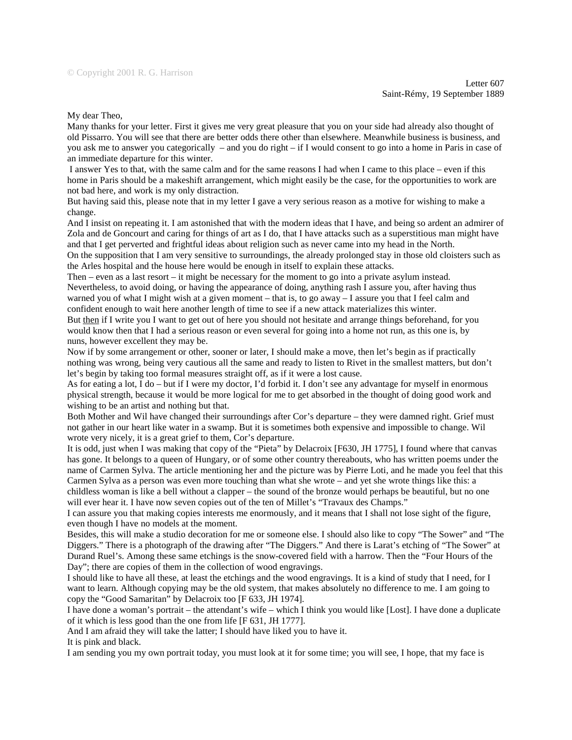My dear Theo,

Many thanks for your letter. First it gives me very great pleasure that you on your side had already also thought of old Pissarro. You will see that there are better odds there other than elsewhere. Meanwhile business is business, and you ask me to answer you categorically – and you do right – if I would consent to go into a home in Paris in case of an immediate departure for this winter.

 I answer Yes to that, with the same calm and for the same reasons I had when I came to this place – even if this home in Paris should be a makeshift arrangement, which might easily be the case, for the opportunities to work are not bad here, and work is my only distraction.

But having said this, please note that in my letter I gave a very serious reason as a motive for wishing to make a change.

And I insist on repeating it. I am astonished that with the modern ideas that I have, and being so ardent an admirer of Zola and de Goncourt and caring for things of art as I do, that I have attacks such as a superstitious man might have and that I get perverted and frightful ideas about religion such as never came into my head in the North.

On the supposition that I am very sensitive to surroundings, the already prolonged stay in those old cloisters such as the Arles hospital and the house here would be enough in itself to explain these attacks.

Then – even as a last resort – it might be necessary for the moment to go into a private asylum instead. Nevertheless, to avoid doing, or having the appearance of doing, anything rash I assure you, after having thus warned you of what I might wish at a given moment – that is, to go away – I assure you that I feel calm and confident enough to wait here another length of time to see if a new attack materializes this winter.

But then if I write you I want to get out of here you should not hesitate and arrange things beforehand, for you would know then that I had a serious reason or even several for going into a home not run, as this one is, by nuns, however excellent they may be.

Now if by some arrangement or other, sooner or later, I should make a move, then let's begin as if practically nothing was wrong, being very cautious all the same and ready to listen to Rivet in the smallest matters, but don't let's begin by taking too formal measures straight off, as if it were a lost cause.

As for eating a lot, I do – but if I were my doctor, I'd forbid it. I don't see any advantage for myself in enormous physical strength, because it would be more logical for me to get absorbed in the thought of doing good work and wishing to be an artist and nothing but that.

Both Mother and Wil have changed their surroundings after Cor's departure – they were damned right. Grief must not gather in our heart like water in a swamp. But it is sometimes both expensive and impossible to change. Wil wrote very nicely, it is a great grief to them, Cor's departure.

It is odd, just when I was making that copy of the "Pieta" by Delacroix [F630, JH 1775], I found where that canvas has gone. It belongs to a queen of Hungary, or of some other country thereabouts, who has written poems under the name of Carmen Sylva. The article mentioning her and the picture was by Pierre Loti, and he made you feel that this Carmen Sylva as a person was even more touching than what she wrote – and yet she wrote things like this: a childless woman is like a bell without a clapper – the sound of the bronze would perhaps be beautiful, but no one will ever hear it. I have now seven copies out of the ten of Millet's "Travaux des Champs."

I can assure you that making copies interests me enormously, and it means that I shall not lose sight of the figure, even though I have no models at the moment.

Besides, this will make a studio decoration for me or someone else. I should also like to copy "The Sower" and "The Diggers." There is a photograph of the drawing after "The Diggers." And there is Larat's etching of "The Sower" at Durand Ruel's. Among these same etchings is the snow-covered field with a harrow. Then the "Four Hours of the Day"; there are copies of them in the collection of wood engravings.

I should like to have all these, at least the etchings and the wood engravings. It is a kind of study that I need, for I want to learn. Although copying may be the old system, that makes absolutely no difference to me. I am going to copy the "Good Samaritan" by Delacroix too [F 633, JH 1974].

I have done a woman's portrait – the attendant's wife – which I think you would like [Lost]. I have done a duplicate of it which is less good than the one from life [F 631, JH 1777].

And I am afraid they will take the latter; I should have liked you to have it.

It is pink and black.

I am sending you my own portrait today, you must look at it for some time; you will see, I hope, that my face is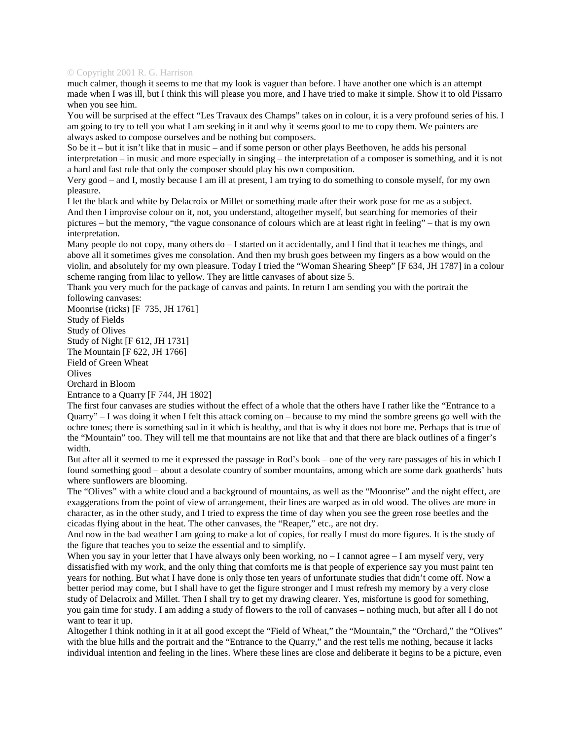## © Copyright 2001 R. G. Harrison

much calmer, though it seems to me that my look is vaguer than before. I have another one which is an attempt made when I was ill, but I think this will please you more, and I have tried to make it simple. Show it to old Pissarro when you see him.

You will be surprised at the effect "Les Travaux des Champs" takes on in colour, it is a very profound series of his. I am going to try to tell you what I am seeking in it and why it seems good to me to copy them. We painters are always asked to compose ourselves and be nothing but composers.

So be it – but it isn't like that in music – and if some person or other plays Beethoven, he adds his personal interpretation – in music and more especially in singing – the interpretation of a composer is something, and it is not a hard and fast rule that only the composer should play his own composition.

Very good – and I, mostly because I am ill at present, I am trying to do something to console myself, for my own pleasure.

I let the black and white by Delacroix or Millet or something made after their work pose for me as a subject. And then I improvise colour on it, not, you understand, altogether myself, but searching for memories of their pictures – but the memory, "the vague consonance of colours which are at least right in feeling" – that is my own interpretation.

Many people do not copy, many others do – I started on it accidentally, and I find that it teaches me things, and above all it sometimes gives me consolation. And then my brush goes between my fingers as a bow would on the violin, and absolutely for my own pleasure. Today I tried the "Woman Shearing Sheep" [F 634, JH 1787] in a colour scheme ranging from lilac to yellow. They are little canvases of about size 5.

Thank you very much for the package of canvas and paints. In return I am sending you with the portrait the following canvases:

Moonrise (ricks) [F 735, JH 1761] Study of Fields Study of Olives Study of Night [F 612, JH 1731] The Mountain [F 622, JH 1766] Field of Green Wheat **Olives** 

Orchard in Bloom

Entrance to a Quarry [F 744, JH 1802]

The first four canvases are studies without the effect of a whole that the others have I rather like the "Entrance to a Quarry" – I was doing it when I felt this attack coming on – because to my mind the sombre greens go well with the ochre tones; there is something sad in it which is healthy, and that is why it does not bore me. Perhaps that is true of the "Mountain" too. They will tell me that mountains are not like that and that there are black outlines of a finger's width.

But after all it seemed to me it expressed the passage in Rod's book – one of the very rare passages of his in which I found something good – about a desolate country of somber mountains, among which are some dark goatherds' huts where sunflowers are blooming.

The "Olives" with a white cloud and a background of mountains, as well as the "Moonrise" and the night effect, are exaggerations from the point of view of arrangement, their lines are warped as in old wood. The olives are more in character, as in the other study, and I tried to express the time of day when you see the green rose beetles and the cicadas flying about in the heat. The other canvases, the "Reaper," etc., are not dry.

And now in the bad weather I am going to make a lot of copies, for really I must do more figures. It is the study of the figure that teaches you to seize the essential and to simplify.

When you say in your letter that I have always only been working, no  $-1$  cannot agree  $-1$  am myself very, very dissatisfied with my work, and the only thing that comforts me is that people of experience say you must paint ten years for nothing. But what I have done is only those ten years of unfortunate studies that didn't come off. Now a better period may come, but I shall have to get the figure stronger and I must refresh my memory by a very close study of Delacroix and Millet. Then I shall try to get my drawing clearer. Yes, misfortune is good for something, you gain time for study. I am adding a study of flowers to the roll of canvases – nothing much, but after all I do not want to tear it up.

Altogether I think nothing in it at all good except the "Field of Wheat," the "Mountain," the "Orchard," the "Olives" with the blue hills and the portrait and the "Entrance to the Quarry," and the rest tells me nothing, because it lacks individual intention and feeling in the lines. Where these lines are close and deliberate it begins to be a picture, even